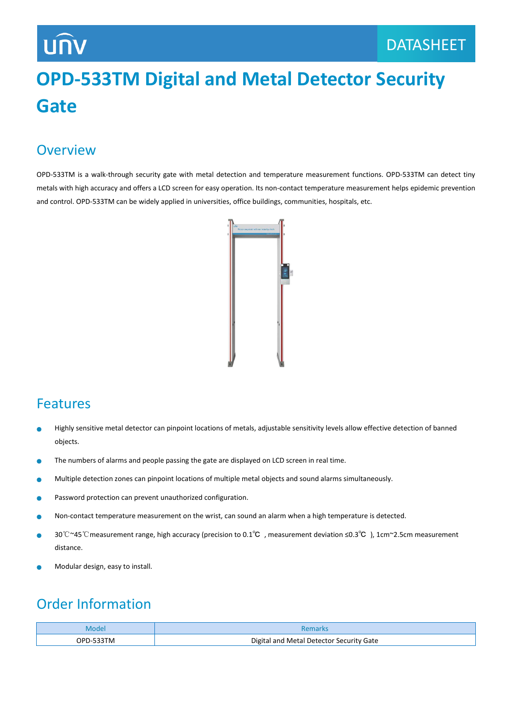# **UNV**

## **OPD-533TM Digital and Metal Detector Security Gate**

#### **Overview**

OPD-533TM is a walk-through security gate with metal detection and temperature measurement functions. OPD-533TM can detect tiny metals with high accuracy and offers a LCD screen for easy operation. Its non-contact temperature measurement helps epidemic prevention and control. OPD-533TM can be widely applied in universities, office buildings, communities, hospitals, etc.



#### Features

- Highly sensitive metal detector can pinpoint locations of metals, adjustable sensitivity levels allow effective detection of banned Ċ objects.
- The numbers of alarms and people passing the gate are displayed on LCD screen in real time.  $\bullet$
- Ŏ Multiple detection zones can pinpoint locations of multiple metal objects and sound alarms simultaneously.
- Password protection can prevent unauthorized configuration. ò
- Non-contact temperature measurement on the wrist, can sound an alarm when a high temperature is detected.  $\bullet$
- 30℃~45℃measurement range, high accuracy (precision to 0.1℃ , measurement deviation ≤0.3℃ ), 1cm~2.5cm measurement Ċ distance.
- Modular design, easy to install.

### Order Information

| Model     | <b>Remarks</b>                           |
|-----------|------------------------------------------|
| OPD-533TM | Digital and Metal Detector Security Gate |